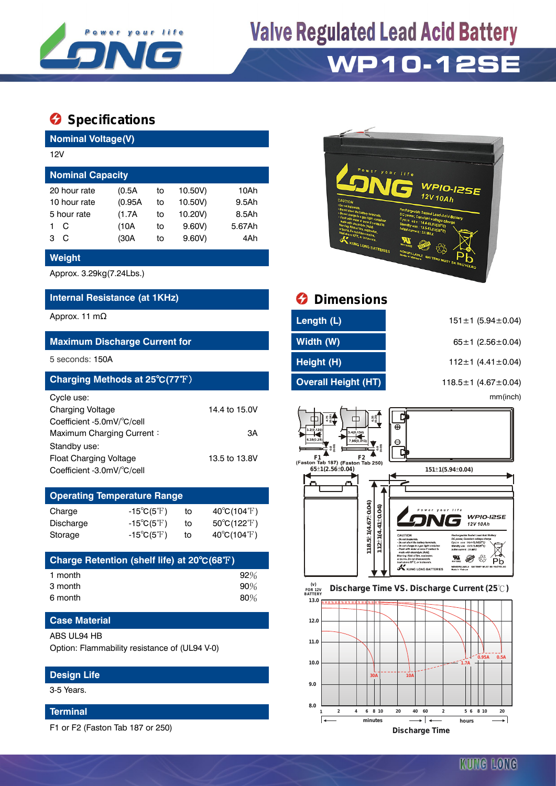

## **Valve Regulated Lead Acid Battery**

### **WP10-12SE**

### $\bullet$  Specifications

**Nominal Voltage(V)**

|                         | 12V |         |    |         |        |  |  |  |  |  |
|-------------------------|-----|---------|----|---------|--------|--|--|--|--|--|
| <b>Nominal Capacity</b> |     |         |    |         |        |  |  |  |  |  |
| 20 hour rate            |     | (0.5A)  | to | 10.50V) | 10Ah   |  |  |  |  |  |
| 10 hour rate            |     | (0.95A) | to | 10.50V) | 9.5Ah  |  |  |  |  |  |
| 5 hour rate             |     | (1.7A)  | to | 10.20V) | 8.5Ah  |  |  |  |  |  |
|                         | C   | (10A)   | to | 9.60V   | 5.67Ah |  |  |  |  |  |
| з                       | C   | (30A    | to | 9.60V   | 4Ah    |  |  |  |  |  |
|                         |     |         |    |         |        |  |  |  |  |  |

#### **Weight**

Approx. 3.29kg(7.24Lbs.)

#### **Internal Resistance (at 1KHz)**

#### **Maximum Discharge Current for**

| Charging Methods at 25°C(77°F) |               |
|--------------------------------|---------------|
| Cycle use:                     |               |
| <b>Charging Voltage</b>        | 14.4 to 15.0V |
| Coefficient -5.0mV/°C/cell     |               |
| Maximum Charging Current:      | ЗA            |
| Standby use:                   |               |
| <b>Float Charging Voltage</b>  | 13.5 to 13.8V |
| Coefficient -3.0mV/°C/cell     |               |

| <b>Operating Temperature Range</b> |                            |    |                                  |  |  |  |  |
|------------------------------------|----------------------------|----|----------------------------------|--|--|--|--|
| Charge                             | $-15^{\circ}C(5^{\circ}F)$ | to | $40^{\circ}C(104^{\circ}F)$      |  |  |  |  |
| Discharge                          | $-15^{\circ}C(5^{\circ}F)$ | to | $50^{\circ}$ C(122 $^{\circ}$ F) |  |  |  |  |
| Storage                            | $-15^{\circ}C(5^{\circ}F)$ | tο | $40^{\circ}C(104^{\circ}F)$      |  |  |  |  |

| Charge Retention (shelf life) at 20°C(68°F) |        |
|---------------------------------------------|--------|
| 1 month                                     | 92%    |
| 3 month                                     | 90%    |
| 6 month                                     | $80\%$ |

#### **Case Material**

#### ABS UL94 HB

Option: Flammability resistance of (UL94 V-0)

#### **Design Life**

3-5 Years.

#### **Terminal**

F1 or F2 (Faston Tab 187 or 250)



| <b>Internal Resistance (at 1KHz)</b>                                                      |                     | <b>O</b> Dimensions                                                               |                                 |  |  |  |
|-------------------------------------------------------------------------------------------|---------------------|-----------------------------------------------------------------------------------|---------------------------------|--|--|--|
| Approx. 11 m $\Omega$                                                                     |                     | Length (L)                                                                        | $151 \pm 1$ (5.94 ± 0.04)       |  |  |  |
| <b>Maximum Discharge Current for</b>                                                      |                     | Width (W)                                                                         | 65±1 (2.56±0.04)                |  |  |  |
| 5 seconds: 150A                                                                           |                     | Height (H)                                                                        | 112 $\pm$ 1 (4.41 $\pm$ 0.04)   |  |  |  |
| Charging Methods at 25°C(77°F)                                                            |                     | <b>Overall Height (HT)</b>                                                        | 118.5 $\pm$ 1 (4.67 $\pm$ 0.04) |  |  |  |
| Cycle use:<br>Charging Voltage<br>Coefficient -5.0mV/°C/cell<br>Maximum Charging Current: | 14.4 to 15.0V<br>3A | 6.35<br>щ<br>3.4(0.134                                                            | mm(inch)<br>$\Theta$            |  |  |  |
| Standby use:<br><b>Float Charging Voltage</b>                                             | 13.5 to 13.8V       | 7.95(0.31)<br>. 88<br>0.03<br>F <sub>1</sub><br>(Faston Tab 187) (Faston Tab 250) | Θ                               |  |  |  |